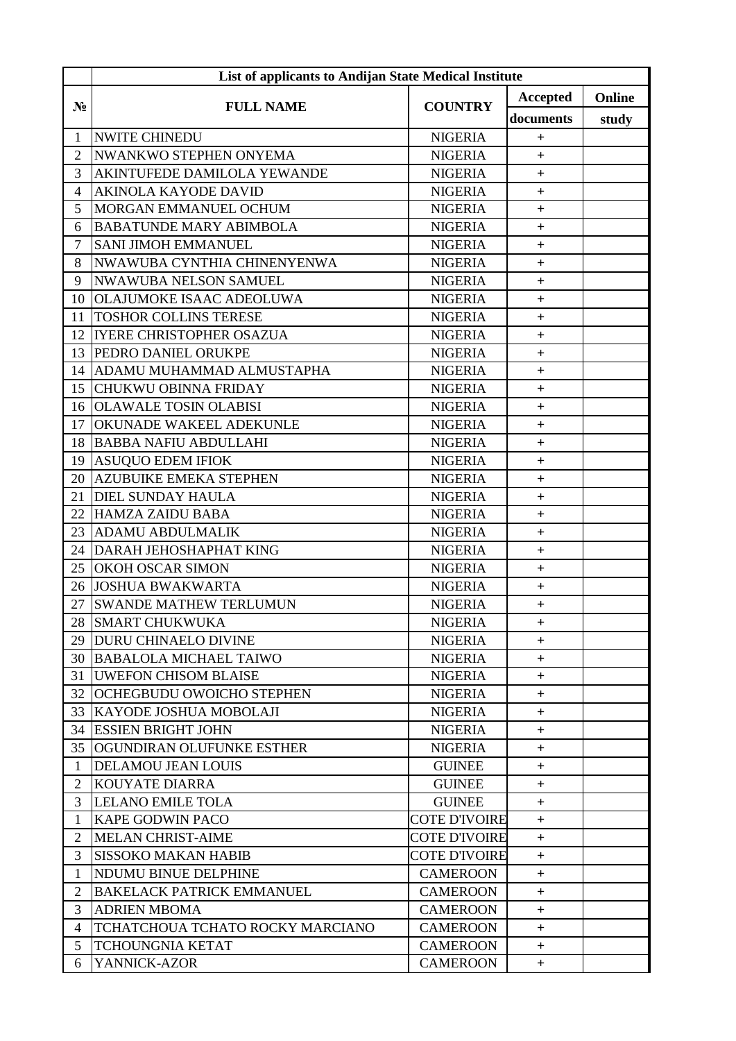|                | List of applicants to Andijan State Medical Institute |                      |                |        |  |
|----------------|-------------------------------------------------------|----------------------|----------------|--------|--|
| $N_2$          | <b>FULL NAME</b>                                      | <b>COUNTRY</b>       | Accepted       | Online |  |
|                |                                                       |                      | documents      | study  |  |
| 1              | <b>NWITE CHINEDU</b>                                  | <b>NIGERIA</b>       | $\overline{+}$ |        |  |
| $\overline{2}$ | NWANKWO STEPHEN ONYEMA                                | <b>NIGERIA</b>       | $\ddot{}$      |        |  |
| 3              | AKINTUFEDE DAMILOLA YEWANDE                           | <b>NIGERIA</b>       | $\ddot{}$      |        |  |
| $\overline{4}$ | <b>AKINOLA KAYODE DAVID</b>                           | <b>NIGERIA</b>       | $+$            |        |  |
| 5              | MORGAN EMMANUEL OCHUM                                 | <b>NIGERIA</b>       | $^{+}$         |        |  |
| 6              | <b>BABATUNDE MARY ABIMBOLA</b>                        | <b>NIGERIA</b>       | $^{+}$         |        |  |
| $\overline{7}$ | <b>SANI JIMOH EMMANUEL</b>                            | <b>NIGERIA</b>       | $\ddot{}$      |        |  |
| 8              | NWAWUBA CYNTHIA CHINENYENWA                           | <b>NIGERIA</b>       | $+$            |        |  |
| 9              | <b>NWAWUBA NELSON SAMUEL</b>                          | <b>NIGERIA</b>       | $+$            |        |  |
| 10             | <b>OLAJUMOKE ISAAC ADEOLUWA</b>                       | <b>NIGERIA</b>       | $+$            |        |  |
| 11             | <b>TOSHOR COLLINS TERESE</b>                          | <b>NIGERIA</b>       | $+$            |        |  |
| 12             | <b>IYERE CHRISTOPHER OSAZUA</b>                       | <b>NIGERIA</b>       | $\ddot{}$      |        |  |
| 13             | PEDRO DANIEL ORUKPE                                   | <b>NIGERIA</b>       | $^{+}$         |        |  |
| 14             | ADAMU MUHAMMAD ALMUSTAPHA                             | <b>NIGERIA</b>       | $\ddot{}$      |        |  |
| 15             | CHUKWU OBINNA FRIDAY                                  | <b>NIGERIA</b>       | $\ddot{}$      |        |  |
| 16             | <b>OLAWALE TOSIN OLABISI</b>                          | <b>NIGERIA</b>       | $\ddot{}$      |        |  |
| 17             | OKUNADE WAKEEL ADEKUNLE                               | <b>NIGERIA</b>       | $\ddot{}$      |        |  |
| 18             | <b>BABBA NAFIU ABDULLAHI</b>                          | <b>NIGERIA</b>       | $\ddot{}$      |        |  |
| 19             | <b>ASUQUO EDEM IFIOK</b>                              | <b>NIGERIA</b>       | $^{+}$         |        |  |
| 20             | <b>AZUBUIKE EMEKA STEPHEN</b>                         | <b>NIGERIA</b>       | $^{+}$         |        |  |
| 21             | <b>DIEL SUNDAY HAULA</b>                              | <b>NIGERIA</b>       | $\ddot{}$      |        |  |
| 22             | <b>HAMZA ZAIDU BABA</b>                               | <b>NIGERIA</b>       | $\ddot{}$      |        |  |
| 23             | <b>ADAMU ABDULMALIK</b>                               | <b>NIGERIA</b>       | $\ddot{}$      |        |  |
| 24             | DARAH JEHOSHAPHAT KING                                | <b>NIGERIA</b>       | $\ddot{}$      |        |  |
| 25             | <b>OKOH OSCAR SIMON</b>                               | <b>NIGERIA</b>       | $^{+}$         |        |  |
| 26             | <b>JOSHUA BWAKWARTA</b>                               | <b>NIGERIA</b>       | $\ddot{}$      |        |  |
| 27             | <b>SWANDE MATHEW TERLUMUN</b>                         | <b>NIGERIA</b>       | $\pm$          |        |  |
|                | 28 SMART CHUKWUKA                                     | <b>NIGERIA</b>       | $^+$           |        |  |
| 29             | <b>DURU CHINAELO DIVINE</b>                           | <b>NIGERIA</b>       | $+$            |        |  |
| 30             | <b>BABALOLA MICHAEL TAIWO</b>                         | <b>NIGERIA</b>       | $+$            |        |  |
| 31             | <b>UWEFON CHISOM BLAISE</b>                           | <b>NIGERIA</b>       | $^{+}$         |        |  |
| 32             | <b>OCHEGBUDU OWOICHO STEPHEN</b>                      | <b>NIGERIA</b>       | $+$            |        |  |
| 33             | KAYODE JOSHUA MOBOLAJI                                | <b>NIGERIA</b>       | $^{+}$         |        |  |
| 34             | <b>ESSIEN BRIGHT JOHN</b>                             | <b>NIGERIA</b>       | $+$            |        |  |
| 35             | OGUNDIRAN OLUFUNKE ESTHER                             | <b>NIGERIA</b>       | $+$            |        |  |
| $\mathbf{1}$   | <b>DELAMOU JEAN LOUIS</b>                             | <b>GUINEE</b>        | $^{+}$         |        |  |
| 2              | <b>KOUYATE DIARRA</b>                                 | <b>GUINEE</b>        | $^+$           |        |  |
| 3              | <b>LELANO EMILE TOLA</b>                              | <b>GUINEE</b>        | $+$            |        |  |
| 1              | <b>KAPE GODWIN PACO</b>                               | <b>COTE D'IVOIRE</b> | $^{+}$         |        |  |
| 2              | <b>MELAN CHRIST-AIME</b>                              | <b>COTE D'IVOIRE</b> | $+$            |        |  |
| $\overline{3}$ | <b>SISSOKO MAKAN HABIB</b>                            | <b>COTE D'IVOIRE</b> | $+$            |        |  |
| $\mathbf{1}$   | NDUMU BINUE DELPHINE                                  | <b>CAMEROON</b>      | $^{+}$         |        |  |
| 2              | <b>BAKELACK PATRICK EMMANUEL</b>                      | <b>CAMEROON</b>      | $+$            |        |  |
| $\overline{3}$ | <b>ADRIEN MBOMA</b>                                   | <b>CAMEROON</b>      | $^{+}$         |        |  |
| $\overline{4}$ | TCHATCHOUA TCHATO ROCKY MARCIANO                      | <b>CAMEROON</b>      | $+$            |        |  |
| 5 <sup>5</sup> | <b>TCHOUNGNIA KETAT</b>                               | <b>CAMEROON</b>      | $+$            |        |  |
| 6              | YANNICK-AZOR                                          | <b>CAMEROON</b>      | $+$            |        |  |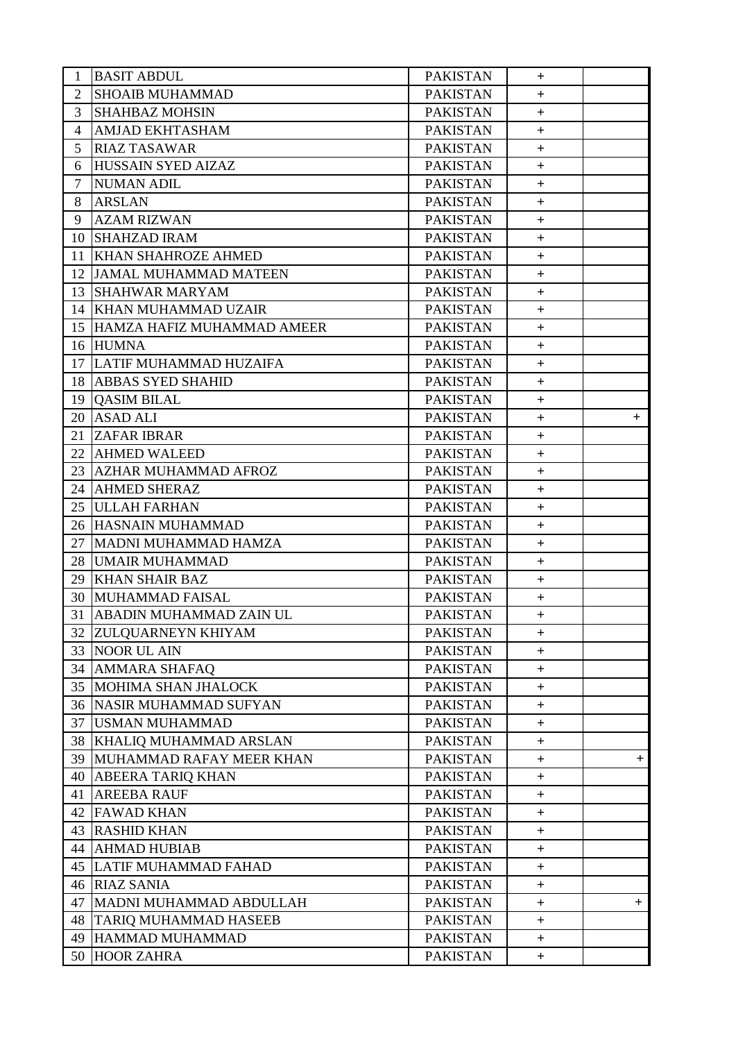| 1              | <b>BASIT ABDUL</b>              | <b>PAKISTAN</b> | $+$            |     |
|----------------|---------------------------------|-----------------|----------------|-----|
| $\overline{2}$ | <b>SHOAIB MUHAMMAD</b>          | <b>PAKISTAN</b> | $^{+}$         |     |
| 3              | <b>SHAHBAZ MOHSIN</b>           | <b>PAKISTAN</b> | $+$            |     |
| $\overline{4}$ | <b>AMJAD EKHTASHAM</b>          | <b>PAKISTAN</b> | $+$            |     |
| 5              | <b>RIAZ TASAWAR</b>             | <b>PAKISTAN</b> | $+$            |     |
| 6              | <b>HUSSAIN SYED AIZAZ</b>       | <b>PAKISTAN</b> | $+$            |     |
| $\tau$         | <b>NUMAN ADIL</b>               | <b>PAKISTAN</b> | $+$            |     |
| 8              | <b>ARSLAN</b>                   | <b>PAKISTAN</b> | $+$            |     |
| 9              | <b>AZAM RIZWAN</b>              | <b>PAKISTAN</b> | $\ddot{}$      |     |
| 10             | <b>SHAHZAD IRAM</b>             | <b>PAKISTAN</b> | $+$            |     |
| 11             | <b>KHAN SHAHROZE AHMED</b>      | <b>PAKISTAN</b> | $+$            |     |
| 12             | <b>JAMAL MUHAMMAD MATEEN</b>    | <b>PAKISTAN</b> | $+$            |     |
| 13             | <b>SHAHWAR MARYAM</b>           | <b>PAKISTAN</b> | $+$            |     |
| 14             | KHAN MUHAMMAD UZAIR             | <b>PAKISTAN</b> | $+$            |     |
|                | 15 HAMZA HAFIZ MUHAMMAD AMEER   | <b>PAKISTAN</b> | $+$            |     |
|                | 16 HUMNA                        | <b>PAKISTAN</b> | $\ddot{}$      |     |
| 17             | LATIF MUHAMMAD HUZAIFA          | <b>PAKISTAN</b> | $+$            |     |
|                | 18 ABBAS SYED SHAHID            | <b>PAKISTAN</b> | $+$            |     |
|                | 19 OASIM BILAL                  | <b>PAKISTAN</b> | $+$            |     |
|                | 20 ASAD ALI                     | <b>PAKISTAN</b> | $+$            | $+$ |
| 21             | <b>ZAFAR IBRAR</b>              | <b>PAKISTAN</b> | $+$            |     |
| 22             | <b>AHMED WALEED</b>             | <b>PAKISTAN</b> | $+$            |     |
| 23             | <b>AZHAR MUHAMMAD AFROZ</b>     | <b>PAKISTAN</b> | $+$            |     |
| 24             | <b>AHMED SHERAZ</b>             | <b>PAKISTAN</b> | $+$            |     |
|                | 25 JULLAH FARHAN                | <b>PAKISTAN</b> | $+$            |     |
|                | 26 HASNAIN MUHAMMAD             | <b>PAKISTAN</b> | $+$            |     |
| 27             | MADNI MUHAMMAD HAMZA            | <b>PAKISTAN</b> | $+$            |     |
| 28             | <b>UMAIR MUHAMMAD</b>           | <b>PAKISTAN</b> | $\ddot{}$      |     |
| 29             | <b>KHAN SHAIR BAZ</b>           | <b>PAKISTAN</b> | $+$            |     |
| 30             | MUHAMMAD FAISAL                 | <b>PAKISTAN</b> | $+$            |     |
| 31             | ABADIN MUHAMMAD ZAIN UL         | <b>PAKISTAN</b> | $+$            |     |
|                | 32 ZULQUARNEYN KHIYAM           | <b>PAKISTAN</b> | $+$            |     |
| 33             | <b>NOOR UL AIN</b>              | <b>PAKISTAN</b> | $+$            |     |
| 34             | <b>AMMARA SHAFAQ</b>            | <b>PAKISTAN</b> | $+$            |     |
| 35             | MOHIMA SHAN JHALOCK             | <b>PAKISTAN</b> | $\ddot{}$      |     |
|                | <b>36 NASIR MUHAMMAD SUFYAN</b> | <b>PAKISTAN</b> | $+$            |     |
| 37             | USMAN MUHAMMAD                  | <b>PAKISTAN</b> | $+$            |     |
|                | 38 KHALIQ MUHAMMAD ARSLAN       | <b>PAKISTAN</b> | $\ddot{}$      |     |
| 39             | MUHAMMAD RAFAY MEER KHAN        | <b>PAKISTAN</b> | $+$            | $+$ |
| 40             | <b>ABEERA TARIQ KHAN</b>        | <b>PAKISTAN</b> | $\ddot{}$      |     |
| 41             | <b>AREEBA RAUF</b>              | <b>PAKISTAN</b> | $+$            |     |
| 42             | <b>FAWAD KHAN</b>               | <b>PAKISTAN</b> | $+$            |     |
| 43             | <b>RASHID KHAN</b>              | <b>PAKISTAN</b> | $\ddot{}$      |     |
| 44             | <b>AHMAD HUBIAB</b>             | <b>PAKISTAN</b> | $+$            |     |
| 45             | LATIF MUHAMMAD FAHAD            | <b>PAKISTAN</b> | $+$            |     |
|                | 46 RIAZ SANIA                   | <b>PAKISTAN</b> | $+$            |     |
| 47             | MADNI MUHAMMAD ABDULLAH         | <b>PAKISTAN</b> | $\overline{+}$ | $+$ |
| 48             | <b>TARIQ MUHAMMAD HASEEB</b>    | <b>PAKISTAN</b> | $+$            |     |
| 49             | HAMMAD MUHAMMAD                 | <b>PAKISTAN</b> | $+$            |     |
|                | 50 HOOR ZAHRA                   | <b>PAKISTAN</b> | $+$            |     |